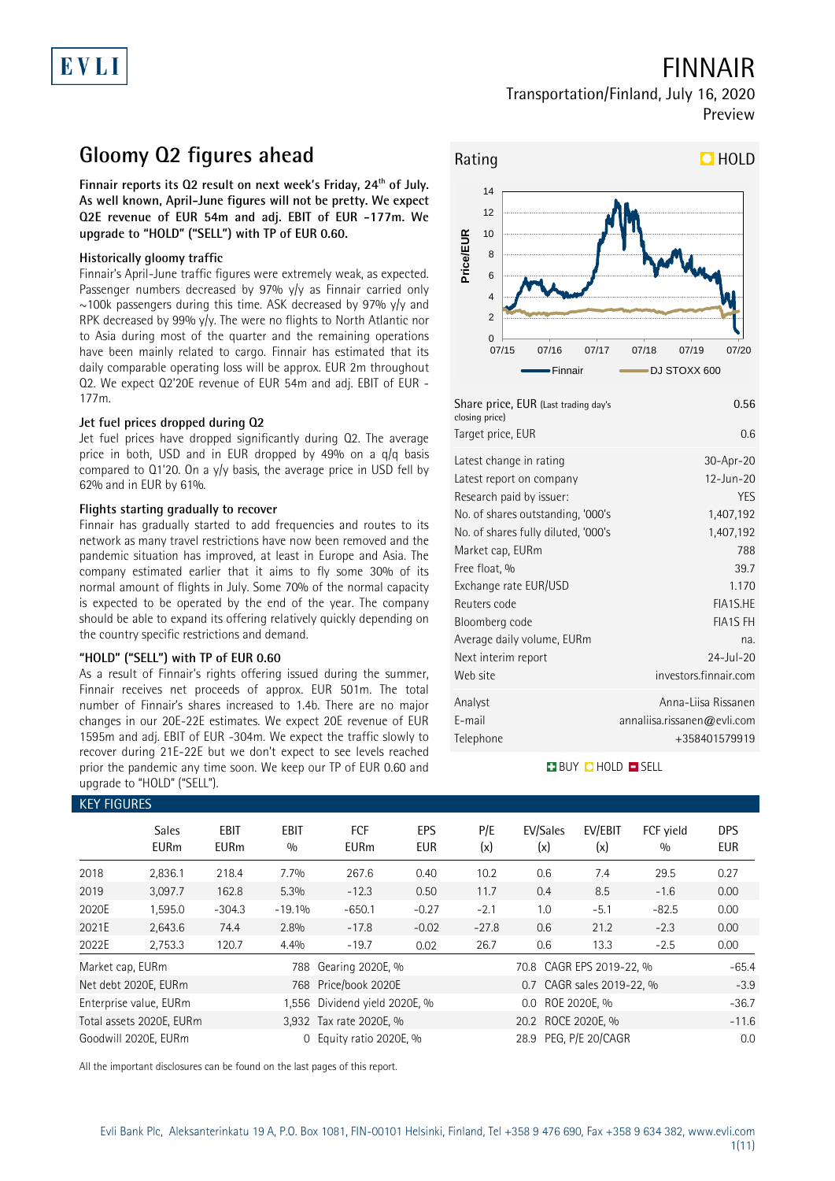## FINNAIR

### Transportation/Finland, July 16, 2020 Preview

# **Gloomy Q2 figures ahead**

**Finnair reports its Q2 result on next week's Friday, 24th of July. As well known, April-June figures will not be pretty. We expect Q2E revenue of EUR 54m and adj. EBIT of EUR -177m. We upgrade to "HOLD" ("SELL") with TP of EUR 0.60.** 

### **Historically gloomy traffic**

Finnair's April-June traffic figures were extremely weak, as expected. Passenger numbers decreased by 97% y/y as Finnair carried only  $\sim$ 100k passengers during this time. ASK decreased by 97% y/y and RPK decreased by 99% y/y. The were no flights to North Atlantic nor to Asia during most of the quarter and the remaining operations have been mainly related to cargo. Finnair has estimated that its daily comparable operating loss will be approx. EUR 2m throughout Q2. We expect Q2'20E revenue of EUR 54m and adj. EBIT of EUR - 177m.

### **Jet fuel prices dropped during Q2**

Jet fuel prices have dropped significantly during Q2. The average price in both, USD and in EUR dropped by 49% on a q/q basis compared to Q1'20. On a y/y basis, the average price in USD fell by 62% and in EUR by 61%.

### **Flights starting gradually to recover**

Finnair has gradually started to add frequencies and routes to its network as many travel restrictions have now been removed and the pandemic situation has improved, at least in Europe and Asia. The company estimated earlier that it aims to fly some 30% of its normal amount of flights in July. Some 70% of the normal capacity is expected to be operated by the end of the year. The company should be able to expand its offering relatively quickly depending on the country specific restrictions and demand.

### **"HOLD" ("SELL") with TP of EUR 0.60**

As a result of Finnair's rights offering issued during the summer, Finnair receives net proceeds of approx. EUR 501m. The total number of Finnair's shares increased to 1.4b. There are no major changes in our 20E-22E estimates. We expect 20E revenue of EUR 1595m and adj. EBIT of EUR -304m. We expect the traffic slowly to recover during 21E-22E but we don't expect to see levels reached prior the pandemic any time soon. We keep our TP of EUR 0.60 and upgrade to "HOLD" ("SELL").



| Rating    |                |       |                                |       |       |              | $D$ HOLD |
|-----------|----------------|-------|--------------------------------|-------|-------|--------------|----------|
|           | 14             |       |                                |       |       |              |          |
|           | 12             |       |                                |       |       |              |          |
|           | 10             |       |                                |       |       |              |          |
| Price/EUR | 8              |       |                                |       |       |              |          |
|           | 6              |       |                                |       |       |              |          |
|           | 4              |       |                                |       |       |              |          |
|           | $\overline{2}$ |       |                                |       |       |              |          |
|           | $\mathbf 0$    | 07/15 | 07/16                          | 07/17 | 07/18 | 07/19        | 07/20    |
|           |                |       | -Finnair                       |       |       | DJ STOXX 600 |          |
|           |                |       | $Chowation$ EUD $(1, 1, 1, 1)$ |       |       |              | 0.5c     |

| Share price, EUR (Last trading day's<br>closing price) | 0.56                        |
|--------------------------------------------------------|-----------------------------|
| Target price, EUR                                      | 0.6                         |
| Latest change in rating                                | 30-Apr-20                   |
| Latest report on company                               | 12-Jun-20                   |
| Research paid by issuer:                               | <b>YES</b>                  |
| No. of shares outstanding, '000's                      | 1,407,192                   |
| No. of shares fully diluted, '000's                    | 1,407,192                   |
| Market cap, EURm                                       | 788                         |
| Free float, %                                          | 39.7                        |
| Exchange rate EUR/USD                                  | 1.170                       |
| Reuters code                                           | FIA1S.HE                    |
| Bloomberg code                                         | <b>FIA1S FH</b>             |
| Average daily volume, EURm                             | na.                         |
| Next interim report                                    | 24-Jul-20                   |
| Web site                                               | investors.finnair.com       |
| Analyst                                                | Anna-Liisa Rissanen         |
| E-mail                                                 | annaliisa.rissanen@evli.com |
| Telephone                                              | +358401579919               |
|                                                        |                             |

### **BUY CHOLD ESELL**

| <b>KEY FIGURES</b> |                             |                            |                    |                               |                   |            |                          |                           |                  |                   |
|--------------------|-----------------------------|----------------------------|--------------------|-------------------------------|-------------------|------------|--------------------------|---------------------------|------------------|-------------------|
|                    | <b>Sales</b><br><b>EURm</b> | <b>EBIT</b><br><b>EURm</b> | <b>EBIT</b><br>0/0 | <b>FCF</b><br><b>EURm</b>     | EPS<br><b>EUR</b> | P/E<br>(x) | EV/Sales<br>(x)          | EV/EBIT<br>(x)            | FCF yield<br>0/0 | <b>DPS</b><br>EUR |
| 2018               | 2,836.1                     | 218.4                      | 7.7%               | 267.6                         | 0.40              | 10.2       | 0.6                      | 7.4                       | 29.5             | 0.27              |
| 2019               | 3,097.7                     | 162.8                      | 5.3%               | $-12.3$                       | 0.50              | 11.7       | 0.4                      | 8.5                       | $-1.6$           | 0.00              |
| 2020E              | 1,595.0                     | $-304.3$                   | $-19.1%$           | $-650.1$                      | $-0.27$           | $-2.1$     | 1.0                      | $-5.1$                    | $-82.5$          | 0.00              |
| 2021E              | 2,643.6                     | 74.4                       | 2.8%               | $-17.8$                       | $-0.02$           | $-27.8$    | 0.6                      | 21.2                      | $-2.3$           | 0.00              |
| 2022E              | 2,753.3                     | 120.7                      | 4.4%               | $-19.7$                       | 0.02              | 26.7       | 0.6                      | 13.3                      | $-2.5$           | 0.00              |
| Market cap, EURm   |                             |                            |                    | 788 Gearing 2020E, %          |                   |            | 70.8 CAGR EPS 2019-22, % |                           |                  | $-65.4$           |
|                    | Net debt 2020E, EURm        |                            |                    | 768 Price/book 2020E          |                   |            |                          | 0.7 CAGR sales 2019-22, % |                  | $-3.9$            |
|                    | Enterprise value, EURm      |                            |                    | 1,556 Dividend yield 2020E, % |                   |            | $0.0\,$                  | ROE 2020E, %              |                  | $-36.7$           |
|                    | Total assets 2020E, EURm    |                            |                    | 3,932 Tax rate 2020E, %       |                   |            |                          | $-11.6$                   |                  |                   |
|                    | Goodwill 2020E, EURm        |                            | $\Omega$           | Equity ratio 2020E, %         |                   |            | 28.9 PEG, P/E 20/CAGR    |                           |                  | 0.0               |

All the important disclosures can be found on the last pages of this report.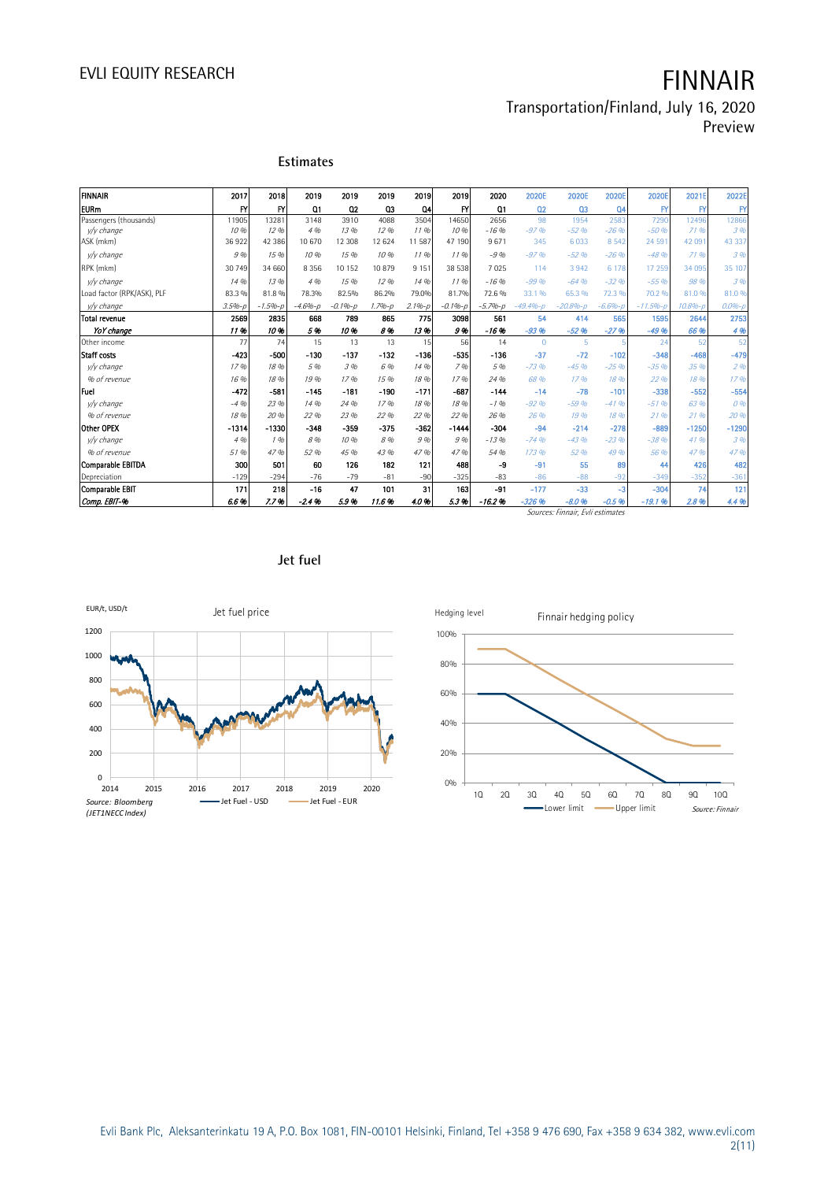Preview

| <b>FINNAIR</b>             | 2017       | 2018        | 2019           | 2019        | 2019       | 2019           | 2019        | 2020        | 2020E          | 2020E          | 2020E          | 2020E         | 2021E             | 2022E        |
|----------------------------|------------|-------------|----------------|-------------|------------|----------------|-------------|-------------|----------------|----------------|----------------|---------------|-------------------|--------------|
| <b>EURm</b>                | FY         | <b>FY</b>   | Q <sub>1</sub> | 02          | Q3         | Q <sub>4</sub> | F'          | Q1          | Q <sub>2</sub> | Q <sub>3</sub> | Q <sub>4</sub> | FY            | $\mathsf{FY}$     | $\mathsf{F}$ |
| Passengers (thousands)     | 11905      | 13281       | 3148           | 3910        | 4088       | 3504           | 14650       | 2656        | 98             | 1954           | 2583           | 7290          | 12496             | 12866        |
| v/y change                 | 10 %       | 12.96       | 4 %            | 13 %        | 12.96      | 1196           | 10%         | $-16.96$    | $-97%$         | $-52.96$       | $-26.9b$       | $-50%$        | 71.9 <sub>h</sub> | 3 %          |
| ASK (mkm)                  | 36922      | 42 38 6     | 10 670         | 12 308      | 12 624     | 11 587         | 47 190      | 9671        | 345            | 6033           | 8 5 4 2        | 24 591        | 42 091            | 43 337       |
| v/v change                 | 9%         | 15 %        | 10 %           | 15%         | 10%        | 1196           | 1196        | $-9.96$     | $-97.96$       | $-52.96$       | $-26.9b$       | $-48.9b$      | 7196              | 3%           |
| RPK (mkm)                  | 30 749     | 34 660      | 8 3 5 6        | 10 152      | 10879      | 915'           | 38 538      | 7025        | 114            | 3 9 4 2        | 6 1 7 8        | 17 259        | 34 095            | 35 107       |
| v/y change                 | 14 %       | 13 %        | 4 %            | 15%         | 1296       | 14 %           | 1196        | $-16.96$    | $-99.96$       | $-64.96$       | $-32.9b$       | $-5596$       | 98 %              | 3%           |
| Load factor (RPK/ASK), PLF | 83.3 %     | 81.8%       | 78.3%          | 82.5%       | 86.2%      | 79.0%          | 81.7%       | 72.6%       | 33.1%          | 65.3 %         | 72.3 %         | 70.2 %        | 81.0%             | 81.0%        |
| y/y change                 | $3.5% - p$ | $-1.5% - D$ | $-4.6% - p$    | $-0.1% - p$ | $1.7% - p$ | $2.1%-p$       | $-0.1% - p$ | $-5.7% - p$ | $-49.4% - D$   | $-20.8% - D$   | $-6.6%$        | $-11.596 - D$ | $10.8% - 1$       | $0.0% - 1$   |
| Total revenue              | 2569       | 2835        | 668            | 789         | 865        | 775            | 3098        | 561         | 54             | 414            | 565            | 1595          | 2644              | 2753         |
| YoY change                 | 11%        | 10%         | 5%             | 10%         | 8%         | 13%            | 9%          | $-16%$      | $-93%$         | $-52.96$       | $-27%$         | $-49.96$      | 66 %              | 4%           |
| Other income               | 77         | 74          | 15             | 13          | 13         | 15             | 56          | 14          | $\Omega$       | 5              |                | 24            | 52                | 52           |
| <b>Staff costs</b>         | $-423$     | $-500$      | $-130$         | $-137$      | $-132$     | $-136$         | -535        | $-136$      | $-37$          | $-72$          | $-102$         | $-348$        | $-468$            | $-479$       |
| v/y change                 | 17.96      | 18 %        | 5 %            | 3 %         | 6 %        | 14 %           | 7%          | 5 %         | $-73.96$       | $-45.96$       | $-25.96$       | $-35.96$      | 35 %              | 296          |
| % of revenue               | 16%        | 18 %        | 19 %           | 1796        | 15 %       | 18 %           | 1796        | 24 %        | 68 %           | 17.96          | 18%            | 22 %          | 1896              | 1796         |
| Fuel                       | $-472$     | $-581$      | $-145$         | $-181$      | $-190$     | $-171$         | $-687$      | $-144$      | $-14$          | $-78$          | $-101$         | $-338$        | $-552$            | $-554$       |
| v/y change                 | $-4.96$    | 23 %        | 14 %           | 24 %        | 17.96      | 18 %           | 18%         | $-1.96$     | $-92%$         | $-59.96$       | $-4196$        | $-51.96$      | 63%               | 0%           |
| % of revenue               | 18 %       | 20%         | 22 %           | 23 %        | 22 %       | 22 %           | 22 %        | 26 %        | 26 %           | 19%            | 18%            | 2196          | 2196              | 20 %         |
| Other OPEX                 | $-1314$    | $-1330$     | $-348$         | $-359$      | $-375$     | $-362$         | $-1444$     | $-304$      | $-94$          | $-214$         | $-278$         | $-889$        | $-1250$           | $-1290$      |
| v/y change                 | 4 %        | 196         | 8%             | 10%         | 8 %        | 9%             | 9%          | $-13.96$    | $-74.96$       | $-43.96$       | $-23.96$       | $-38.96$      | 41 %              | 3%           |
| % of revenue               | 51 %       | 47 %        | 52 %           | 45 %        | 43 %       | 47 %           | 47%         | 54 %        | 173 %          | 52 %           | 49 %           | 56 %          | 47.9 <sub>h</sub> | 47 %         |
| <b>Comparable EBITDA</b>   | 300        | 501         | 60             | 126         | 182        | 121            | 488         | -9          | $-91$          | 55             | 89             | 44            | 426               | 482          |
| Depreciation               | $-129$     | $-294$      | $-76$          | $-79$       | $-81$      | $-90$          | $-325$      | $-83$       | $-86$          | $-88$          | $-92$          | $-349$        | $-352$            | $-361$       |
| Comparable EBIT            | 171        | 218         | $-16$          | 47          | 101        | 31             | 163         | $-91$       | $-177$         | $-33$          | $-3$           | $-304$        | 74                | 121          |
| Comp. EBIT-%               | 6.6%       | 7.7%        | $-2.4%$        | 5.9%        | 11.6%      | 4.0%           | 5.3%        | $-16.2%$    | $-326%$        | $-8.0%$        | $-0.5%$        | $-19.1%$      | 2.8%              | 4.4%         |

Sources: Finnair, Evli estimates



**Estimates**





Evli Bank Plc, Aleksanterinkatu 19 A, P.O. Box 1081, FIN-00101 Helsinki, Finland, Tel +358 9 476 690, Fax +358 9 634 382, [www.evli.com](http://www.evli.com/) 2(11)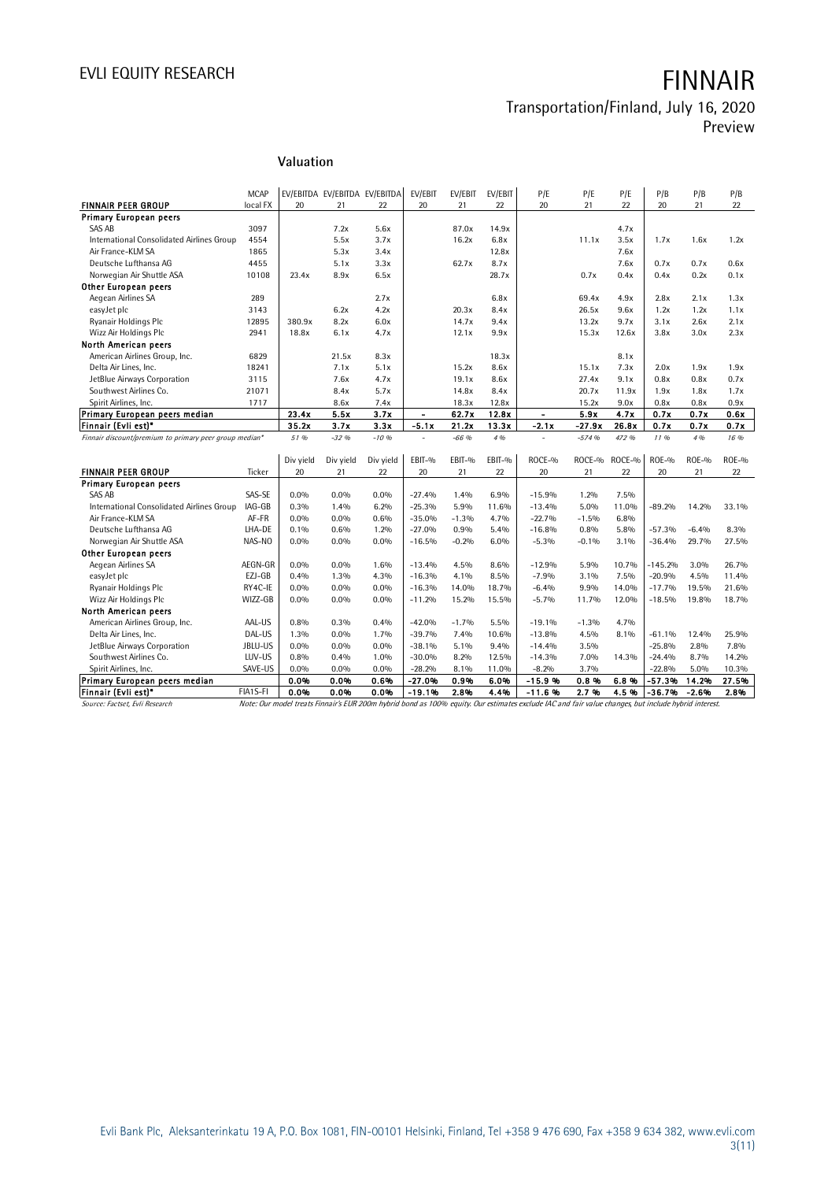# EVLI EQUITY RESEARCH **FINNAIR**

# Transportation/Finland, July 16, 2020

Preview

### **Valuation**

|                                                        | <b>MCAP</b> |           |           | EV/EBITDA EV/EBITDA EV/EBITDA | EV/EBIT       | EV/EBIT | EV/EBIT | P/E                                                                                                                                                  | P/E      | P/E          | P/B       | P/B          | P/B     |
|--------------------------------------------------------|-------------|-----------|-----------|-------------------------------|---------------|---------|---------|------------------------------------------------------------------------------------------------------------------------------------------------------|----------|--------------|-----------|--------------|---------|
| <b>FINNAIR PEER GROUP</b>                              | local FX    | 20        | 21        | 22                            | 20            | 21      | 22      | 20                                                                                                                                                   | 21       | 22           | 20        | 21           | 22      |
| <b>Primary European peers</b>                          |             |           |           |                               |               |         |         |                                                                                                                                                      |          |              |           |              |         |
| <b>SAS AB</b>                                          | 3097        |           | 7.2x      | 5.6x                          |               | 87.0x   | 14.9x   |                                                                                                                                                      |          | 4.7x         |           |              |         |
| International Consolidated Airlines Group              | 4554        |           | 5.5x      | 3.7x                          |               | 16.2x   | 6.8x    |                                                                                                                                                      | 11.1x    | 3.5x         | 1.7x      | 1.6x         | 1.2x    |
| Air France-KLM SA                                      | 1865        |           | 5.3x      | 3.4x                          |               |         | 12.8x   |                                                                                                                                                      |          | 7.6x         |           |              |         |
| Deutsche Lufthansa AG                                  | 4455        |           | 5.1x      | 3.3x                          |               | 62.7x   | 8.7x    |                                                                                                                                                      |          | 7.6x         | 0.7x      | 0.7x         | 0.6x    |
| Norwegian Air Shuttle ASA                              | 10108       | 23.4x     | 8.9x      | 6.5x                          |               |         | 28.7x   |                                                                                                                                                      | 0.7x     | 0.4x         | 0.4x      | 0.2x         | 0.1x    |
| <b>Other European peers</b>                            |             |           |           |                               |               |         |         |                                                                                                                                                      |          |              |           |              |         |
| Aegean Airlines SA                                     | 289         |           |           | 2.7x                          |               |         | 6.8x    |                                                                                                                                                      | 69.4x    | 4.9x         | 2.8x      | 2.1x         | 1.3x    |
| easyJet plc                                            | 3143        |           | 6.2x      | 4.2x                          |               | 20.3x   | 8.4x    |                                                                                                                                                      | 26.5x    | 9.6x         | 1.2x      | 1.2x         | 1.1x    |
| Ryanair Holdings Plc                                   | 12895       | 380.9x    | 8.2x      | 6.0x                          |               | 14.7x   | 9.4x    |                                                                                                                                                      | 13.2x    | 9.7x         | 3.1x      | 2.6x         | 2.1x    |
| Wizz Air Holdings Plc                                  | 2941        | 18.8x     | 6.1x      | 4.7x                          |               | 12.1x   | 9.9x    |                                                                                                                                                      | 15.3x    | 12.6x        | 3.8x      | 3.0x         | 2.3x    |
| North American peers                                   |             |           |           |                               |               |         |         |                                                                                                                                                      |          |              |           |              |         |
| American Airlines Group, Inc.                          | 6829        |           | 21.5x     | 8.3x                          |               |         | 18.3x   |                                                                                                                                                      |          | 8.1x         |           |              |         |
| Delta Air Lines. Inc.                                  | 18241       |           | 7.1x      | 5.1x                          |               | 15.2x   | 8.6x    |                                                                                                                                                      | 15.1x    | 7.3x         | 2.0x      | 1.9x         | 1.9x    |
| JetBlue Airways Corporation                            | 3115        |           | 7.6x      | 4.7x                          |               | 19.1x   | 8.6x    |                                                                                                                                                      | 27.4x    | 9.1x         | 0.8x      | 0.8x         | 0.7x    |
| Southwest Airlines Co.                                 | 21071       |           | 8.4x      | 5.7x                          |               | 14.8x   | 8.4x    |                                                                                                                                                      | 20.7x    | 11.9x        | 1.9x      | 1.8x         | 1.7x    |
| Spirit Airlines, Inc.                                  | 1717        |           | 8.6x      | 7.4x                          |               | 18.3x   | 12.8x   |                                                                                                                                                      | 15.2x    | 9.0x         | 0.8x      | 0.8x         | 0.9x    |
| Primary European peers median                          |             | 23.4x     | 5.5x      | 3.7x                          | $\frac{1}{2}$ | 62.7x   | 12.8x   | $\blacksquare$                                                                                                                                       | 5.9x     | 4.7x         | 0.7x      | 0.7x         | 0.6x    |
| Finnair (Evli est)*                                    |             | 35.2x     | 3.7x      | 3.3x                          | $-5.1x$       | 21.2x   | 13.3x   | $-2.1x$                                                                                                                                              | $-27.9x$ | 26.8x        | 0.7x      | 0.7x         | 0.7x    |
| Finnair discount/premium to primary peer group median* |             | 51 %      | $-32.96$  | $-10.96$                      | $\sim$        | $-66$ % | 4 %     |                                                                                                                                                      | $-574%$  | 472 %        | 11%       | 4 %          | 16 %    |
|                                                        |             |           |           |                               |               |         |         |                                                                                                                                                      |          |              |           |              |         |
|                                                        |             | Div yield | Div yield | Div yield<br>22               | EBIT-%        | EBIT-%  | EBIT-%  | ROCE-%                                                                                                                                               | ROCE-%   | ROCE-%<br>22 | ROE-%     | <b>ROE-%</b> | $ROE-0$ |
| <b>FINNAIR PEER GROUP</b>                              | Ticker      | 20        | 21        |                               | 20            | 21      | 22      | 20                                                                                                                                                   | 21       |              | 20        | 21           | 22      |
| <b>Primary European peers</b><br>SAS AB                | SAS-SE      | $0.0\%$   | 0.0%      | 0.0%                          | $-27.4%$      | 1.4%    | 6.9%    | $-15.9%$                                                                                                                                             | 1.2%     | 7.5%         |           |              |         |
| International Consolidated Airlines Group              | IAG-GB      | 0.3%      | 1.4%      | 6.2%                          | $-25.3%$      | 5.9%    | 11.6%   | $-13.4%$                                                                                                                                             | 5.0%     | 11.0%        | $-89.2%$  | 14.2%        | 33.1%   |
| Air France-KLM SA                                      | AF-FR       | $0.0\%$   | 0.0%      | 0.6%                          | $-35.0%$      | $-1.3%$ | 4.7%    | $-22.7%$                                                                                                                                             | $-1.5%$  | 6.8%         |           |              |         |
| Deutsche Lufthansa AG                                  | LHA-DE      | 0.1%      | 0.6%      | 1.2%                          | $-27.0%$      | 0.9%    | 5.4%    | $-16.8%$                                                                                                                                             | 0.8%     | 5.8%         | $-57.3%$  | $-6.4%$      | 8.3%    |
| Norwegian Air Shuttle ASA                              | NAS-NO      | 0.0%      | 0.0%      | $0.0\%$                       | $-16.5%$      | $-0.2%$ | 6.0%    | $-5.3%$                                                                                                                                              | $-0.1%$  | 3.1%         | $-36.4%$  | 29.7%        | 27.5%   |
| <b>Other European peers</b>                            |             |           |           |                               |               |         |         |                                                                                                                                                      |          |              |           |              |         |
| Aegean Airlines SA                                     | AEGN-GR     | $0.0\%$   | 0.0%      | 1.6%                          | $-13.4%$      | 4.5%    | 8.6%    | $-12.9%$                                                                                                                                             | 5.9%     | 10.7%        | $-145.2%$ | 3.0%         | 26.7%   |
| easyJet plc                                            | EZJ-GB      | 0.4%      | 1.3%      | 4.3%                          | $-16.3%$      | 4.1%    | 8.5%    | $-7.9%$                                                                                                                                              | 3.1%     | 7.5%         | $-20.9%$  | 4.5%         | 11.4%   |
| Ryanair Holdings Plc                                   | RY4C-IE     | 0.0%      | 0.0%      | 0.0%                          | $-16.3%$      | 14.0%   | 18.7%   | $-6.4%$                                                                                                                                              | 9.9%     | 14.0%        | $-17.7%$  | 19.5%        | 21.6%   |
| Wizz Air Holdings Plc                                  | WIZZ-GB     | 0.0%      | $0.0\%$   | $0.0\%$                       | $-11.2%$      | 15.2%   | 15.5%   | $-5.7%$                                                                                                                                              | 11.7%    | 12.0%        | $-18.5%$  | 19.8%        | 18.7%   |
| North American peers                                   |             |           |           |                               |               |         |         |                                                                                                                                                      |          |              |           |              |         |
| American Airlines Group, Inc.                          | AAL-US      | 0.8%      | 0.3%      | 0.4%                          | $-42.0%$      | $-1.7%$ | 5.5%    | $-19.1%$                                                                                                                                             | $-1.3%$  | 4.7%         |           |              |         |
| Delta Air Lines, Inc.                                  | DAL-US      | 1.3%      | 0.0%      | 1.7%                          | $-39.7%$      | 7.4%    | 10.6%   | $-13.8%$                                                                                                                                             | 4.5%     | 8.1%         | $-61.1%$  | 12.4%        | 25.9%   |
| JetBlue Airways Corporation                            | JBLU-US     | 0.0%      | 0.0%      | 0.0%                          | $-38.1%$      | 5.1%    | 9.4%    | $-14.4%$                                                                                                                                             | 3.5%     |              | $-25.8%$  | 2.8%         | 7.8%    |
| Southwest Airlines Co.                                 | LUV-US      | 0.8%      | 0.4%      | 1.0%                          | $-30.0%$      | 8.2%    | 12.5%   | $-14.3%$                                                                                                                                             | 7.0%     | 14.3%        | $-24.4%$  | 8.7%         | 14.2%   |
| Spirit Airlines, Inc.                                  | SAVE-US     | 0.0%      | 0.0%      | 0.0%                          | $-28.2%$      | 8.1%    | 11.0%   | $-8.2%$                                                                                                                                              | 3.7%     |              | $-22.8%$  | 5.0%         | 10.3%   |
| Primary European peers median                          |             | 0.0%      | 0.0%      | 0.6%                          | $-27.0%$      | 0.9%    | 6.0%    | $-15.9%$                                                                                                                                             | 0.8%     | 6.8%         | $-57.3%$  | 14.2%        | 27.5%   |
| Finnair (Lvli est)*                                    | FIA1S-FI    | 0.0%      | 0.0%      | 0.0%                          | $-19.1%$      | 2.8%    | 4.4%    | $-11.6%$                                                                                                                                             | 2.7%     | 4.5%         | $-36.7%$  | $-2.6%$      | 2.8%    |
| Source: Factset, Evli Research                         |             |           |           |                               |               |         |         | Note: Our model treats Finnair's EUR 200m hybrid bond as 100% equity. Our estimates exclude IAC and fair value changes, but include hybrid interest. |          |              |           |              |         |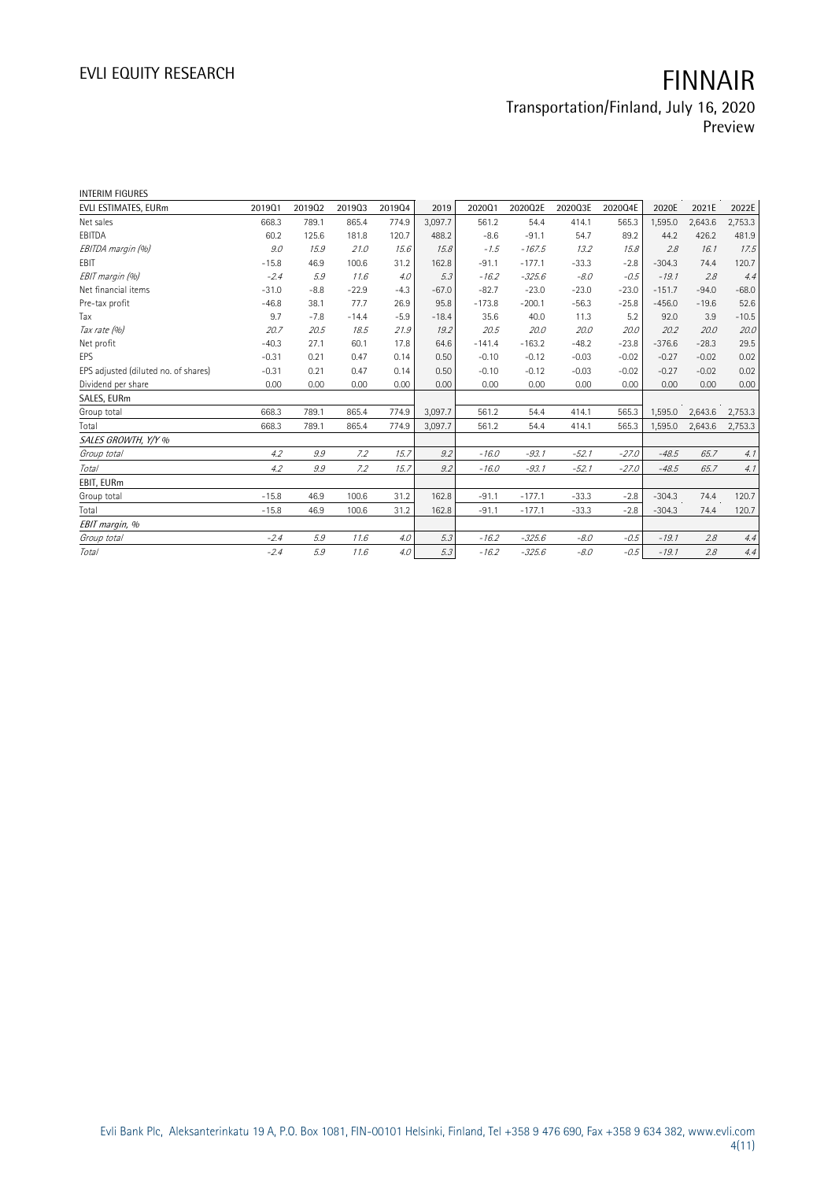| <b>INTERIM FIGURES</b>               |         |        |         |        |         |          |          |         |         |          |         |         |
|--------------------------------------|---------|--------|---------|--------|---------|----------|----------|---------|---------|----------|---------|---------|
| EVLI ESTIMATES, EURm                 | 201901  | 201902 | 201903  | 201904 | 2019    | 202001   | 2020Q2E  | 2020Q3E | 2020Q4E | 2020E    | 2021E   | 2022E   |
| Net sales                            | 668.3   | 789.1  | 865.4   | 774.9  | 3.097.7 | 561.2    | 54.4     | 414.1   | 565.3   | 1,595.0  | 2,643.6 | 2,753.3 |
| EBITDA                               | 60.2    | 125.6  | 181.8   | 120.7  | 488.2   | $-8.6$   | $-91.1$  | 54.7    | 89.2    | 44.2     | 426.2   | 481.9   |
| EBITDA margin (%)                    | 9.0     | 15.9   | 21.0    | 15.6   | 15.8    | $-1.5$   | $-167.5$ | 13.2    | 15.8    | 2.8      | 16.1    | 17.5    |
| EBIT                                 | $-15.8$ | 46.9   | 100.6   | 31.2   | 162.8   | $-91.1$  | $-177.1$ | $-33.3$ | $-2.8$  | $-304.3$ | 74.4    | 120.7   |
| EBIT margin (%)                      | $-2.4$  | 5.9    | 11.6    | 4.0    | 5.3     | $-16.2$  | $-325.6$ | $-8.0$  | $-0.5$  | $-19.1$  | 2.8     | 4.4     |
| Net financial items                  | $-31.0$ | $-8.8$ | $-22.9$ | $-4.3$ | $-67.0$ | $-82.7$  | $-23.0$  | $-23.0$ | $-23.0$ | $-151.7$ | $-94.0$ | $-68.0$ |
| Pre-tax profit                       | $-46.8$ | 38.1   | 77.7    | 26.9   | 95.8    | $-173.8$ | $-200.1$ | $-56.3$ | $-25.8$ | $-456.0$ | $-19.6$ | 52.6    |
| Tax                                  | 9.7     | $-7.8$ | $-14.4$ | $-5.9$ | $-18.4$ | 35.6     | 40.0     | 11.3    | 5.2     | 92.0     | 3.9     | $-10.5$ |
| Tax rate (%)                         | 20.7    | 20.5   | 18.5    | 21.9   | 19.2    | 20.5     | 20.0     | 20.0    | 20.0    | 20.2     | 20.0    | 20.0    |
| Net profit                           | $-40.3$ | 27.1   | 60.1    | 17.8   | 64.6    | $-141.4$ | $-163.2$ | $-48.2$ | $-23.8$ | $-376.6$ | $-28.3$ | 29.5    |
| EPS                                  | $-0.31$ | 0.21   | 0.47    | 0.14   | 0.50    | $-0.10$  | $-0.12$  | $-0.03$ | $-0.02$ | $-0.27$  | $-0.02$ | 0.02    |
| EPS adjusted (diluted no. of shares) | $-0.31$ | 0.21   | 0.47    | 0.14   | 0.50    | $-0.10$  | $-0.12$  | $-0.03$ | $-0.02$ | $-0.27$  | $-0.02$ | 0.02    |
| Dividend per share                   | 0.00    | 0.00   | 0.00    | 0.00   | 0.00    | 0.00     | 0.00     | 0.00    | 0.00    | 0.00     | 0.00    | 0.00    |
| SALES, EURm                          |         |        |         |        |         |          |          |         |         |          |         |         |
| Group total                          | 668.3   | 789.1  | 865.4   | 774.9  | 3,097.7 | 561.2    | 54.4     | 414.1   | 565.3   | 1,595.0  | 2,643.6 | 2,753.3 |
| Total                                | 668.3   | 789.1  | 865.4   | 774.9  | 3,097.7 | 561.2    | 54.4     | 414.1   | 565.3   | 1,595.0  | 2,643.6 | 2,753.3 |
| SALES GROWTH, Y/Y %                  |         |        |         |        |         |          |          |         |         |          |         |         |
| Group total                          | 4.2     | 9.9    | 7.2     | 15.7   | 9.2     | $-16.0$  | $-93.1$  | $-52.1$ | $-27.0$ | $-48.5$  | 65.7    | 4.1     |
| Total                                | 4.2     | 9.9    | 7.2     | 15.7   | 9.2     | $-16.0$  | $-93.1$  | $-52.1$ | $-27.0$ | $-48.5$  | 65.7    | 4.1     |
| EBIT, EURm                           |         |        |         |        |         |          |          |         |         |          |         |         |
| Group total                          | $-15.8$ | 46.9   | 100.6   | 31.2   | 162.8   | $-91.1$  | $-177.1$ | $-33.3$ | $-2.8$  | $-304.3$ | 74.4    | 120.7   |
| Total                                | $-15.8$ | 46.9   | 100.6   | 31.2   | 162.8   | $-91.1$  | $-177.1$ | $-33.3$ | $-2.8$  | $-304.3$ | 74.4    | 120.7   |
| EBIT margin, %                       |         |        |         |        |         |          |          |         |         |          |         |         |
| Group total                          | $-2.4$  | 5.9    | 11.6    | 4.0    | 5.3     | $-16.2$  | $-325.6$ | $-8.0$  | $-0.5$  | $-19.1$  | 2.8     | 4.4     |
| <b>Total</b>                         | $-2.4$  | 5.9    | 11.6    | 4.0    | 5.3     | $-16.2$  | $-325.6$ | $-8.0$  | $-0.5$  | $-19.1$  | 2.8     | 4.4     |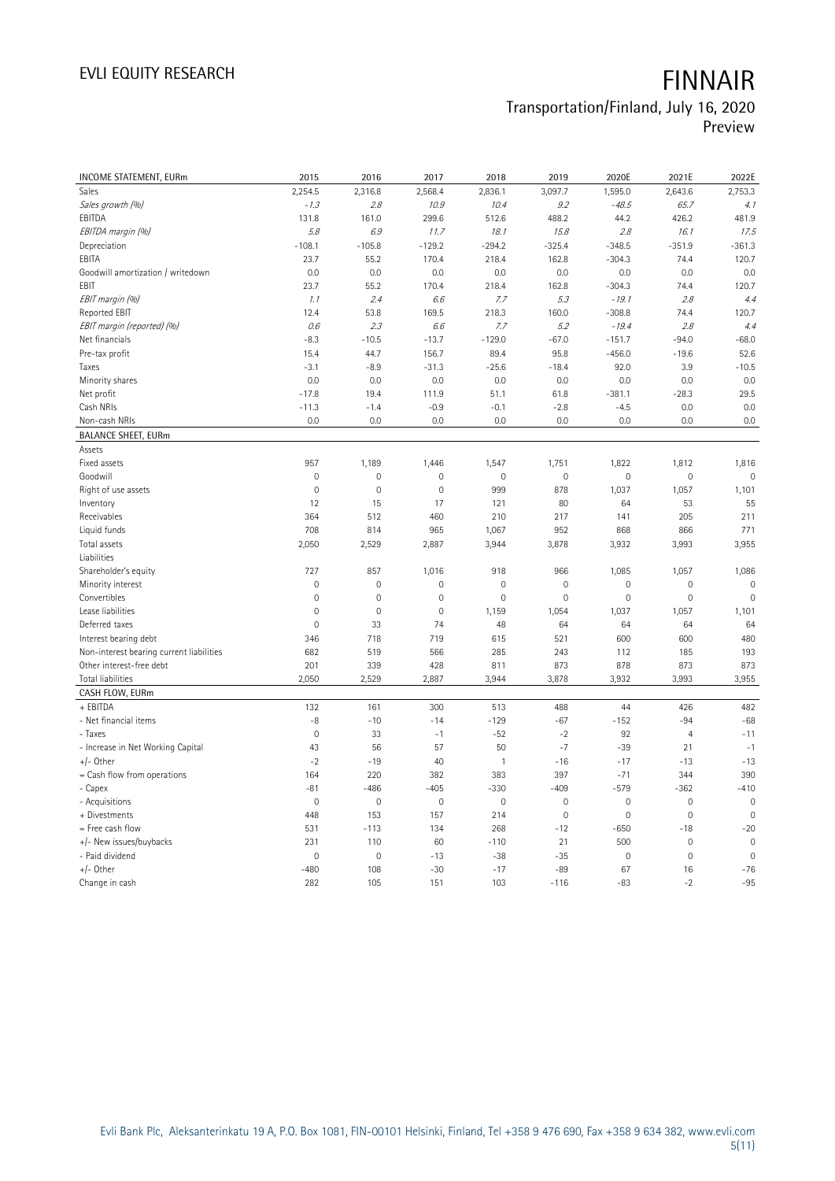# EVLI EQUITY RESEARCH **FINNAIR**

### Transportation/Finland, July 16, 2020 Preview

| INCOME STATEMENT, EURm                   | 2015           | 2016           | 2017                | 2018         | 2019        | 2020E               | 2021E          | 2022E          |
|------------------------------------------|----------------|----------------|---------------------|--------------|-------------|---------------------|----------------|----------------|
| Sales                                    | 2,254.5        | 2,316.8        | 2,568.4             | 2,836.1      | 3,097.7     | 1,595.0             | 2,643.6        | 2,753.3        |
| Sales growth (%)                         | $-1.3$         | 2.8            | 10.9                | 10.4         | 9.2         | $-48.5$             | 65.7           | 4.1            |
| EBITDA                                   | 131.8          | 161.0          | 299.6               | 512.6        | 488.2       | 44.2                | 426.2          | 481.9          |
| EBITDA margin (%)                        | 5.8            | 6.9            | 11.7                | 18.1         | 15.8        | 2.8                 | 16.1           | 17.5           |
| Depreciation                             | $-108.1$       | $-105.8$       | $-129.2$            | $-294.2$     | $-325.4$    | $-348.5$            | $-351.9$       | $-361.3$       |
| EBITA                                    | 23.7           | 55.2           | 170.4               | 218.4        | 162.8       | $-304.3$            | 74.4           | 120.7          |
| Goodwill amortization / writedown        | 0.0            | 0.0            | 0.0                 | 0.0          | 0.0         | 0.0                 | 0.0            | 0.0            |
| EBIT                                     | 23.7           | 55.2           | 170.4               | 218.4        | 162.8       | $-304.3$            | 74.4           | 120.7          |
| EBIT margin (%)                          | 1.1            | 2.4            | 6.6                 | 7.7          | 5.3         | $-19.1$             | 2.8            | 4.4            |
| Reported EBIT                            | 12.4           | 53.8           | 169.5               | 218.3        | 160.0       | $-308.8$            | 74.4           | 120.7          |
| EBIT margin (reported) (%)               | 0.6            | 2.3            | 6.6                 | 7.7          | 5.2         | $-19.4$             | 2.8            | 4.4            |
| Net financials                           | $-8.3$         | $-10.5$        | $-13.7$             | $-129.0$     | $-67.0$     | $-151.7$            | $-94.0$        | $-68.0$        |
| Pre-tax profit                           | 15.4           | 44.7           | 156.7               | 89.4         | 95.8        | $-456.0$            | $-19.6$        | 52.6           |
| Taxes                                    | $-3.1$         | $-8.9$         | $-31.3$             | $-25.6$      | $-18.4$     | 92.0                | 3.9            | $-10.5$        |
| Minority shares                          | 0.0            | 0.0            | 0.0                 | 0.0          | 0.0         | 0.0                 | 0.0            | 0.0            |
| Net profit                               | $-17.8$        | 19.4           | 111.9               | 51.1         | 61.8        | $-381.1$            | $-28.3$        | 29.5           |
| Cash NRIs                                | $-11.3$        | $-1.4$         | $-0.9$              | $-0.1$       | $-2.8$      | $-4.5$              | 0.0            | 0.0            |
| Non-cash NRIs                            | 0.0            | 0.0            | 0.0                 | 0.0          | 0.0         | 0.0                 | 0.0            | 0.0            |
| <b>BALANCE SHEET, EURm</b>               |                |                |                     |              |             |                     |                |                |
| Assets                                   |                |                |                     |              |             |                     |                |                |
| Fixed assets                             | 957            | 1,189          | 1,446               | 1,547        | 1,751       | 1,822               | 1,812          | 1,816          |
| Goodwill                                 | $\mathbf{0}$   | 0              | $\mathbf{0}$        | $\mathbf 0$  | $\mathbf 0$ | $\mathbf{0}$        | $\mathbf 0$    | $\mathbf 0$    |
| Right of use assets                      | $\mathbf 0$    | $\mathbf 0$    | $\mathbf 0$         | 999          | 878         | 1,037               | 1,057          | 1,101          |
| Inventory                                | 12             | 15             | 17                  | 121          | 80          | 64                  | 53             | 55             |
| Receivables                              | 364            | 512            | 460                 | 210          | 217         | 141                 | 205            | 211            |
| Liquid funds                             | 708            | 814            | 965                 | 1,067        | 952         | 868                 | 866            | 771            |
| Total assets                             | 2,050          | 2,529          | 2,887               | 3,944        | 3,878       | 3,932               | 3,993          | 3,955          |
| Liabilities                              |                |                |                     |              |             |                     |                |                |
| Shareholder's equity                     | 727            | 857            | 1,016               | 918          | 966         | 1,085               | 1,057          | 1,086          |
| Minority interest                        | $\mathbf 0$    | $\mathbf 0$    | $\mathsf{O}\xspace$ | $\mathbf 0$  | $\mathbf 0$ | $\mathbf 0$         | $\mathbf 0$    | $\mathbf 0$    |
| Convertibles                             | $\mathbf 0$    | $\mathbf 0$    | $\mathbf 0$         | $\mathbf 0$  | $\mathbf 0$ | $\mathbf 0$         | $\mathbf 0$    | $\mathbf 0$    |
| Lease liabilities                        | $\mathbf 0$    | $\overline{0}$ | $\mathbf 0$         | 1,159        | 1,054       | 1,037               | 1,057          | 1,101          |
| Deferred taxes                           | $\mathbf 0$    | 33             | 74                  | 48           | 64          | 64                  | 64             | 64             |
| Interest bearing debt                    | 346            | 718            | 719                 | 615          | 521         | 600                 | 600            | 480            |
| Non-interest bearing current liabilities | 682            | 519            | 566                 | 285          | 243         | 112                 | 185            | 193            |
| Other interest-free debt                 | 201            | 339            | 428                 | 811          | 873         | 878                 | 873            | 873            |
| Total liabilities                        | 2,050          | 2,529          | 2,887               | 3,944        | 3,878       | 3,932               | 3,993          | 3,955          |
| CASH FLOW, EURm                          |                |                |                     |              |             |                     |                |                |
| + EBITDA                                 | 132            | 161            | 300                 | 513          | 488         | 44                  | 426            | 482            |
| - Net financial items                    | $-8$           | $-10$          | $-14$               | $-129$       | $-67$       | $-152$              | $-94$          | $-68$          |
| - Taxes                                  | $\mathbf 0$    | 33             | $-1$                | $-52$        | $-2$        | 92                  | $\overline{4}$ | $-11$          |
| - Increase in Net Working Capital        | 43             | 56             | 57                  | 50           | $-7$        | $-39$               | 21             | $-1$           |
| $+/-$ Other                              | $-2$           | $-19$          | 40                  | $\mathbf{1}$ | $-16$       | $-17$               | $-13$          | $-13$          |
| = Cash flow from operations              | 164            | 220            | 382                 | 383          | 397         | $-71$               | 344            | 390            |
| - Capex                                  | $-81$          | $-486$         | $-405$              | $-330$       | $-409$      | $-579$              | $-362$         | $-410$         |
| - Acquisitions                           | $\mathbf 0$    | $\mathbf 0$    | $\mathbf 0$         | $\mathbf 0$  | $\mathbf 0$ | $\mathbf 0$         | $\mathbf 0$    | $\mathbf 0$    |
| + Divestments                            | 448            | 153            | 157                 | 214          | $\mathbf 0$ | $\mathsf{O}\xspace$ | $\mathbf 0$    | $\overline{0}$ |
| = Free cash flow                         | 531            | $-113$         | 134                 | 268          | $-12$       | $-650$              | $-18$          | $-20$          |
| +/- New issues/buybacks                  | 231            | 110            | 60                  | $-110$       | 21          | 500                 | $\mathbf 0$    | $\mathbf 0$    |
| - Paid dividend                          | $\overline{0}$ | $\mathbf 0$    | $-13$               | $-38$        | $-35$       | $\mathbf 0$         | $\mathbf 0$    | $\overline{0}$ |
| +/- Other                                | $-480$         | 108            | $-30$               | $-17$        | $-89$       | 67                  | 16             | $-76$          |
| Change in cash                           | 282            | 105            | 151                 | 103          | $-116$      | $-83$               | $-2$           | $-95$          |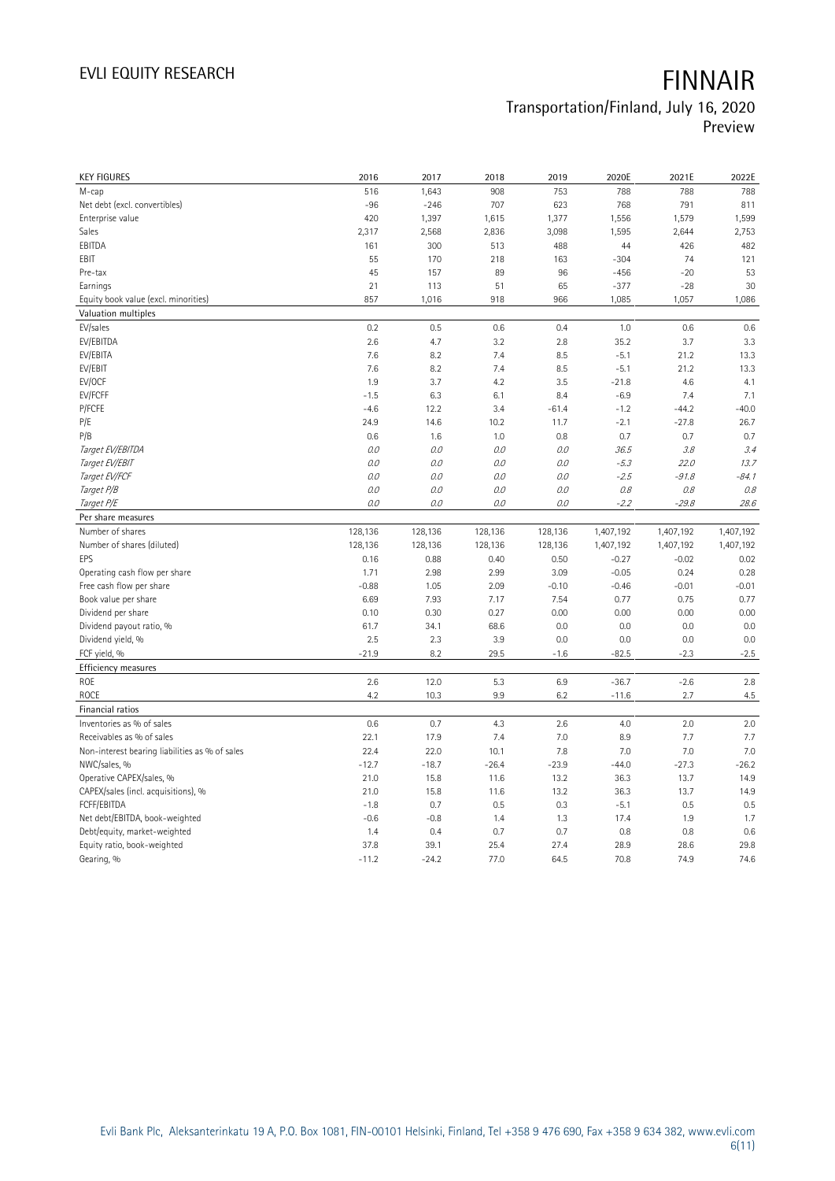| <b>KEY FIGURES</b>                             | 2016            | 2017            | 2018         | 2019         | 2020E        | 2021E        | 2022E        |
|------------------------------------------------|-----------------|-----------------|--------------|--------------|--------------|--------------|--------------|
| M-cap                                          | 516             | 1,643           | 908          | 753          | 788          | 788          | 788          |
| Net debt (excl. convertibles)                  | $-96$           | $-246$          | 707          | 623          | 768          | 791          | 811          |
| Enterprise value                               | 420             | 1,397           | 1,615        | 1,377        | 1,556        | 1,579        | 1,599        |
| Sales                                          | 2,317           | 2,568           | 2,836        | 3,098        | 1,595        | 2,644        | 2,753        |
| EBITDA                                         | 161             | 300             | 513          | 488          | 44           | 426          | 482          |
| <b>FBIT</b>                                    | 55              | 170             | 218          | 163          | $-304$       | 74           | 121          |
| Pre-tax                                        | 45              | 157             | 89           | 96           | $-456$       | $-20$        | 53           |
| Earnings                                       | 21              | 113             | 51           | 65           | $-377$       | $-28$        | 30           |
| Equity book value (excl. minorities)           | 857             | 1,016           | 918          | 966          | 1,085        | 1,057        | 1,086        |
|                                                |                 |                 |              |              |              |              |              |
| Valuation multiples                            |                 |                 |              |              |              |              |              |
| EV/sales                                       | 0.2             | 0.5             | 0.6          | 0.4          | 1.0          | 0.6          | 0.6          |
| EV/EBITDA                                      | 2.6             | 4.7             | 3.2          | 2.8          | 35.2         | 3.7          | 3.3          |
| EV/EBITA                                       | 7.6             | 8.2             | 7.4          | 8.5          | $-5.1$       | 21.2         | 13.3         |
| EV/EBIT                                        | 7.6             | 8.2             | 7.4          | 8.5          | $-5.1$       | 21.2         | 13.3         |
| EV/OCF                                         | 1.9             | 3.7             | 4.2          | 3.5          | $-21.8$      | 4.6          | 4.1          |
| EV/FCFF                                        | $-1.5$          | 6.3             | 6.1          | 8.4          | $-6.9$       | 7.4          | 7.1          |
| P/FCFE                                         | $-4.6$          | 12.2            | 3.4          | $-61.4$      | $-1.2$       | $-44.2$      | $-40.0$      |
| P/E                                            | 24.9            | 14.6            | 10.2         | 11.7         | $-2.1$       | $-27.8$      | 26.7         |
| P/B                                            | 0.6             | 1.6             | 1.0          | 0.8          | 0.7          | 0.7          | 0.7          |
| Target EV/EBITDA                               | 0.0             | 0.0             | 0.0          | 0.0          | 36.5         | 3.8          | 3.4          |
| Target EV/EBIT                                 | 0.0             | 0.0             | 0.0          | 0.0          | $-5.3$       | 22.0         | 13.7         |
| Target EV/FCF                                  | 0.0             | 0.0             | 0.0          | $O.O$        | $-2.5$       | $-91.8$      | $-84.1$      |
| Target P/B                                     | 0.0             | 0.0             | 0.0          | $O.O$        | 0.8          | 0.8          | 0.8          |
| Target P/E                                     | 0.0             | 0.0             | 0.0          | $O.O$        | $-2.2$       | $-29.8$      | 28.6         |
| Per share measures                             |                 |                 |              |              |              |              |              |
|                                                |                 |                 |              |              |              |              |              |
| Number of shares                               | 128,136         | 128,136         | 128,136      | 128,136      | 1,407,192    | 1,407,192    | 1,407,192    |
| Number of shares (diluted)                     | 128,136         | 128,136         | 128,136      | 128,136      | 1,407,192    | 1,407,192    | 1,407,192    |
| EPS                                            | 0.16            | 0.88            | 0.40         | 0.50         | $-0.27$      | $-0.02$      | 0.02         |
| Operating cash flow per share                  | 1.71            | 2.98            | 2.99         | 3.09         | $-0.05$      | 0.24         | 0.28         |
| Free cash flow per share                       | $-0.88$         | 1.05            | 2.09         | $-0.10$      | $-0.46$      | $-0.01$      | $-0.01$      |
| Book value per share                           | 6.69            | 7.93            | 7.17         | 7.54         | 0.77         | 0.75         | 0.77         |
| Dividend per share                             | 0.10            | 0.30            | 0.27         | 0.00         | 0.00         | 0.00         | 0.00         |
| Dividend payout ratio, %                       | 61.7            | 34.1            | 68.6         | 0.0          | 0.0          | 0.0          | 0.0          |
| Dividend yield, %                              | 2.5             | 2.3             | 3.9          | 0.0          | 0.0          | 0.0          | 0.0          |
|                                                |                 |                 |              |              |              |              |              |
| FCF yield, %                                   | $-21.9$         | 8.2             | 29.5         | $-1.6$       | $-82.5$      | $-2.3$       | $-2.5$       |
| Efficiency measures                            |                 |                 |              |              |              |              |              |
| ROE                                            | 2.6             | 12.0            | 5.3          | 6.9          | $-36.7$      | $-2.6$       | 2.8          |
| ROCE                                           | 4.2             | 10.3            | 9.9          | 6.2          | $-11.6$      | 2.7          | 4.5          |
| Financial ratios                               |                 |                 |              |              |              |              |              |
| Inventories as % of sales                      | 0.6             | 0.7             | 4.3          | 2.6          | 4.0          | 2.0          | 2.0          |
| Receivables as % of sales                      | 22.1            | 17.9            | 7.4          | 7.0          | 8.9          | 7.7          | 7.7          |
| Non-interest bearing liabilities as % of sales | 22.4            | 22.0            | 10.1         | 7.8          | 7.0          | 7.0          | 7.0          |
| NWC/sales, %                                   | $-12.7$         | $-18.7$         | $-26.4$      | $-23.9$      | $-44.0$      | $-27.3$      | $-26.2$      |
| Operative CAPEX/sales, %                       | 21.0            | 15.8            | 11.6         | 13.2         | 36.3         | 13.7         | 14.9         |
| CAPEX/sales (incl. acquisitions), %            | 21.0            | 15.8            | 11.6         | 13.2         | 36.3         | 13.7         | 14.9         |
| FCFF/EBITDA                                    | $-1.8$          | 0.7             | 0.5          | 0.3          | $-5.1$       | 0.5          | 0.5          |
| Net debt/EBITDA, book-weighted                 | $-0.6$          | $-0.8$          | 1.4          | 1.3          | 17.4         | 1.9          | 1.7          |
| Debt/equity, market-weighted                   | 1.4             | 0.4             | 0.7          | 0.7          | 0.8          | 0.8          | 0.6          |
| Equity ratio, book-weighted<br>Gearing, %      | 37.8<br>$-11.2$ | 39.1<br>$-24.2$ | 25.4<br>77.0 | 27.4<br>64.5 | 28.9<br>70.8 | 28.6<br>74.9 | 29.8<br>74.6 |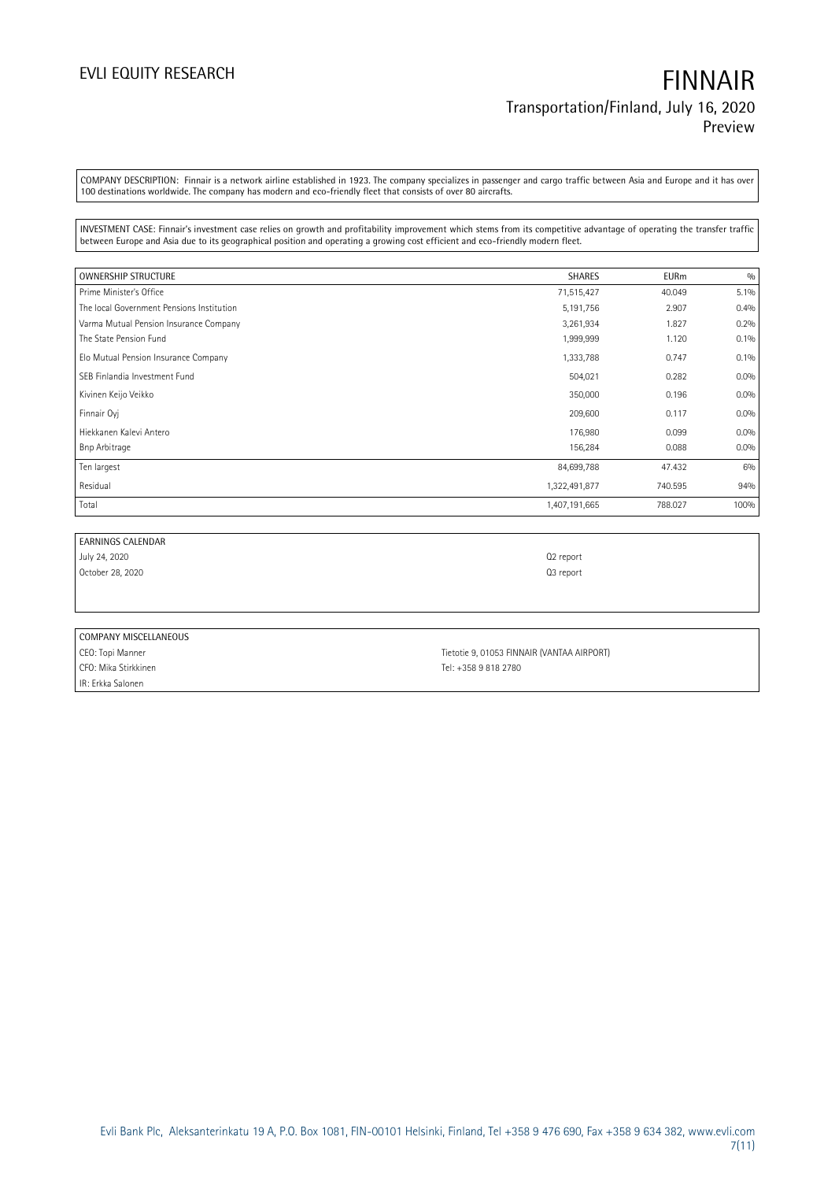COMPANY DESCRIPTION: Finnair is a network airline established in 1923. The company specializes in passenger and cargo traffic between Asia and Europe and it has over 100 destinations worldwide. The company has modern and eco-friendly fleet that consists of over 80 aircrafts.

INVESTMENT CASE: Finnair's investment case relies on growth and profitability improvement which stems from its competitive advantage of operating the transfer traffic between Europe and Asia due to its geographical position and operating a growing cost efficient and eco-friendly modern fleet.

| <b>OWNERSHIP STRUCTURE</b>                | <b>SHARES</b> | <b>EURm</b> | 0/0     |
|-------------------------------------------|---------------|-------------|---------|
| Prime Minister's Office                   | 71,515,427    | 40.049      | 5.1%    |
| The local Government Pensions Institution | 5,191,756     | 2.907       | 0.4%    |
| Varma Mutual Pension Insurance Company    | 3,261,934     | 1.827       | 0.2%    |
| The State Pension Fund                    | 1,999,999     | 1.120       | 0.1%    |
| Elo Mutual Pension Insurance Company      | 1,333,788     | 0.747       | $0.1\%$ |
| SEB Finlandia Investment Fund             | 504,021       | 0.282       | 0.0%    |
| Kivinen Keijo Veikko                      | 350,000       | 0.196       | $0.0\%$ |
| Finnair Oyj                               | 209,600       | 0.117       | $0.0\%$ |
| Hiekkanen Kalevi Antero                   | 176,980       | 0.099       | 0.0%    |
| Bnp Arbitrage                             | 156,284       | 0.088       | 0.0%    |
| Ten largest                               | 84,699,788    | 47.432      | 6%      |
| Residual                                  | 1,322,491,877 | 740.595     | 94%     |
| Total                                     | 1,407,191,665 | 788.027     | 100%    |

| <b>EARNINGS CALENDAR</b> |                                            |
|--------------------------|--------------------------------------------|
| July 24, 2020            | Q <sub>2</sub> report                      |
| October 28, 2020         | Q3 report                                  |
|                          |                                            |
|                          |                                            |
|                          |                                            |
| COMPANY MISCELLANEOUS    |                                            |
| CEO: Topi Manner         | Tietotie 9, 01053 FINNAIR (VANTAA AIRPORT) |

CFO: Mika Stirkkinen Tel: +358 9 818 2780 IR: Erkka Salonen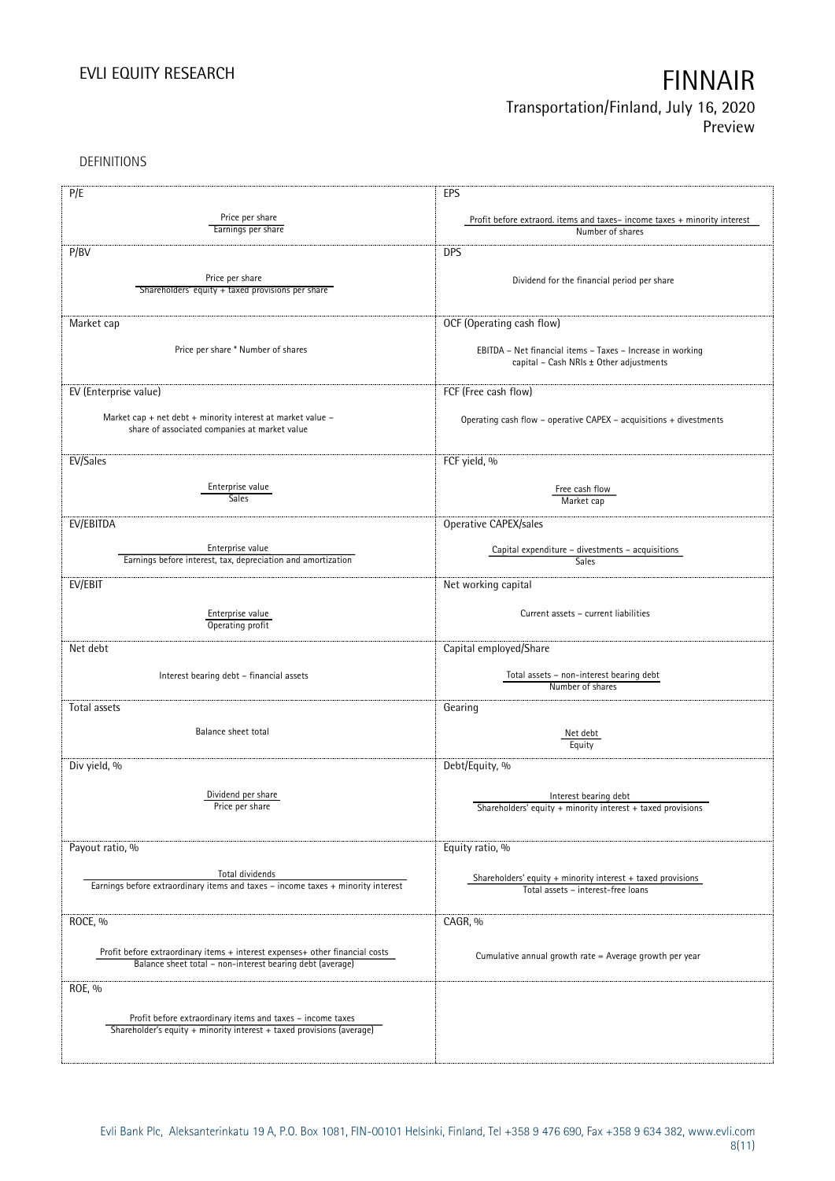DEFINITIONS

| P/E                                                                                                                                       | EPS                                                                                               |
|-------------------------------------------------------------------------------------------------------------------------------------------|---------------------------------------------------------------------------------------------------|
|                                                                                                                                           |                                                                                                   |
| Price per share<br>Earnings per share                                                                                                     | Profit before extraord. items and taxes-income taxes + minority interest<br>Number of shares      |
|                                                                                                                                           |                                                                                                   |
| P/BV                                                                                                                                      | <b>DPS</b>                                                                                        |
|                                                                                                                                           |                                                                                                   |
| Price per share<br>Shareholders' equity + taxed provisions per share                                                                      | Dividend for the financial period per share                                                       |
|                                                                                                                                           |                                                                                                   |
|                                                                                                                                           |                                                                                                   |
| Market cap                                                                                                                                | OCF (Operating cash flow)                                                                         |
| Price per share * Number of shares                                                                                                        | EBITDA - Net financial items - Taxes - Increase in working                                        |
|                                                                                                                                           | capital - Cash NRIs ± Other adjustments                                                           |
|                                                                                                                                           |                                                                                                   |
| EV (Enterprise value)                                                                                                                     | FCF (Free cash flow)                                                                              |
|                                                                                                                                           |                                                                                                   |
| Market cap + net debt + minority interest at market value -                                                                               | Operating cash flow - operative CAPEX - acquisitions + divestments                                |
| share of associated companies at market value                                                                                             |                                                                                                   |
|                                                                                                                                           |                                                                                                   |
| EV/Sales                                                                                                                                  | FCF yield, %                                                                                      |
| Enterprise value                                                                                                                          |                                                                                                   |
| <b>Sales</b>                                                                                                                              | Free cash flow<br>Market cap                                                                      |
|                                                                                                                                           |                                                                                                   |
| EV/EBITDA                                                                                                                                 | Operative CAPEX/sales                                                                             |
|                                                                                                                                           |                                                                                                   |
| Enterprise value<br>Earnings before interest, tax, depreciation and amortization                                                          | Capital expenditure - divestments - acquisitions<br><b>Sales</b>                                  |
|                                                                                                                                           |                                                                                                   |
| EV/EBIT                                                                                                                                   | Net working capital                                                                               |
|                                                                                                                                           |                                                                                                   |
| Enterprise value                                                                                                                          | Current assets - current liabilities                                                              |
| Operating profit                                                                                                                          |                                                                                                   |
| Net debt                                                                                                                                  | Capital employed/Share                                                                            |
|                                                                                                                                           |                                                                                                   |
| Interest bearing debt - financial assets                                                                                                  | Total assets - non-interest bearing debt                                                          |
|                                                                                                                                           | Number of shares                                                                                  |
| Total assets                                                                                                                              | Gearing                                                                                           |
|                                                                                                                                           |                                                                                                   |
| Balance sheet total                                                                                                                       | Net debt                                                                                          |
|                                                                                                                                           | Equity                                                                                            |
| Div yield, %                                                                                                                              | Debt/Equity, %                                                                                    |
|                                                                                                                                           |                                                                                                   |
| Dividend per share                                                                                                                        | Interest bearing debt                                                                             |
| Price per snare                                                                                                                           | Shareholders' equity + minority interest + taxed provisions                                       |
|                                                                                                                                           |                                                                                                   |
|                                                                                                                                           |                                                                                                   |
| Payout ratio, %                                                                                                                           | Equity ratio, %                                                                                   |
| Total dividends                                                                                                                           |                                                                                                   |
| Earnings before extraordinary items and taxes - income taxes + minority interest                                                          | Shareholders' equity + minority interest + taxed provisions<br>Total assets - interest-free loans |
|                                                                                                                                           |                                                                                                   |
|                                                                                                                                           | CAGR, %                                                                                           |
| ROCE, %                                                                                                                                   |                                                                                                   |
|                                                                                                                                           |                                                                                                   |
| Profit before extraordinary items + interest expenses+ other financial costs<br>Balance sheet total - non-interest bearing debt (average) | Cumulative annual growth rate = Average growth per year                                           |
|                                                                                                                                           |                                                                                                   |
| ROE, %                                                                                                                                    |                                                                                                   |
|                                                                                                                                           |                                                                                                   |
| Profit before extraordinary items and taxes - income taxes                                                                                |                                                                                                   |
| Shareholder's equity + minority interest + taxed provisions (average)                                                                     |                                                                                                   |
|                                                                                                                                           |                                                                                                   |
|                                                                                                                                           |                                                                                                   |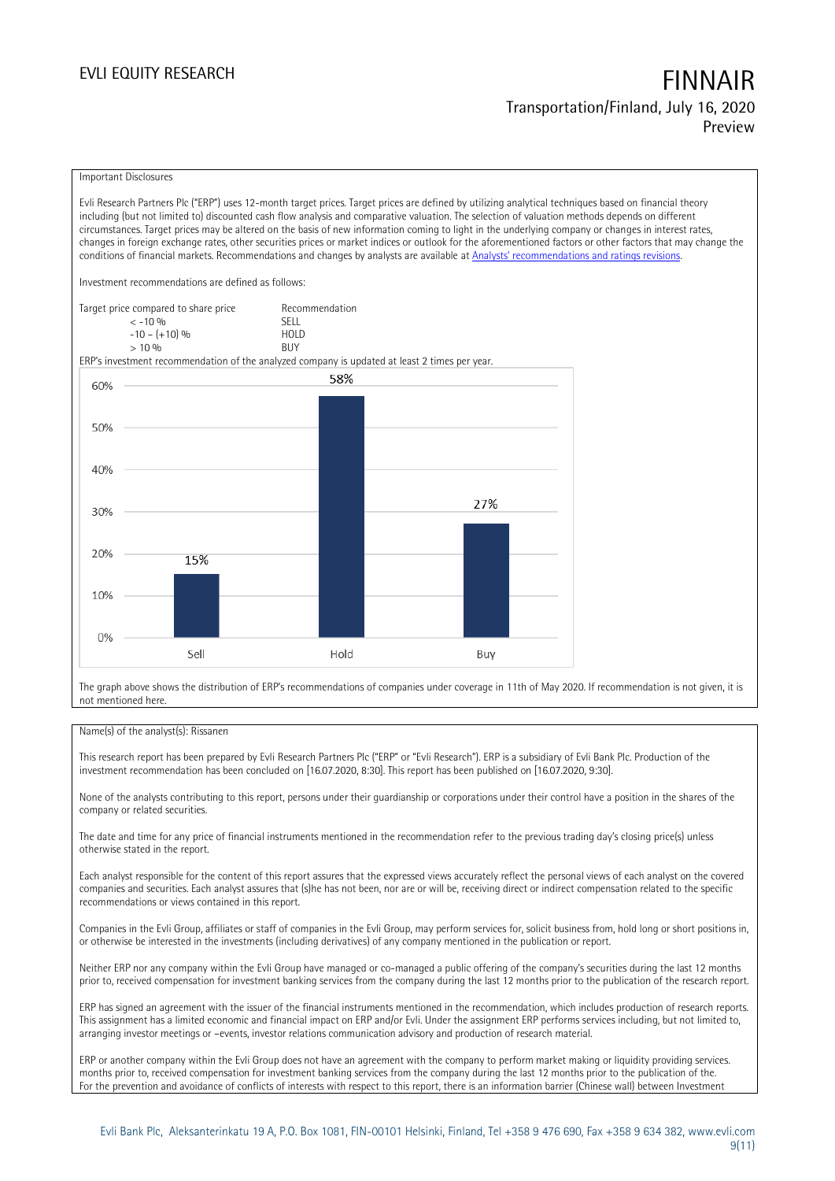### Important Disclosures

Evli Research Partners Plc ("ERP") uses 12-month target prices. Target prices are defined by utilizing analytical techniques based on financial theory including (but not limited to) discounted cash flow analysis and comparative valuation. The selection of valuation methods depends on different circumstances. Target prices may be altered on the basis of new information coming to light in the underlying company or changes in interest rates, changes in foreign exchange rates, other securities prices or market indices or outlook for the aforementioned factors or other factors that may change the conditions of financial markets. Recommendations and changes by analysts are available at [Analysts' recommendations and ratings revisions](https://research.evli.com/JasperAllModels.action?authParam=key;461&authParam=x;G3rNagWrtf7K&authType=3). Investment recommendations are defined as follows: Target price compared to share price Recommendation



The graph above shows the distribution of ERP's recommendations of companies under coverage in 11th of May 2020. If recommendation is not given, it is not mentioned here.

### Name(s) of the analyst(s): Rissanen

This research report has been prepared by Evli Research Partners Plc ("ERP" or "Evli Research"). ERP is a subsidiary of Evli Bank Plc. Production of the investment recommendation has been concluded on [16.07.2020, 8:30]. This report has been published on [16.07.2020, 9:30].

None of the analysts contributing to this report, persons under their guardianship or corporations under their control have a position in the shares of the company or related securities.

The date and time for any price of financial instruments mentioned in the recommendation refer to the previous trading day's closing price(s) unless otherwise stated in the report.

Each analyst responsible for the content of this report assures that the expressed views accurately reflect the personal views of each analyst on the covered companies and securities. Each analyst assures that (s)he has not been, nor are or will be, receiving direct or indirect compensation related to the specific recommendations or views contained in this report.

Companies in the Evli Group, affiliates or staff of companies in the Evli Group, may perform services for, solicit business from, hold long or short positions in, or otherwise be interested in the investments (including derivatives) of any company mentioned in the publication or report.

Neither ERP nor any company within the Evli Group have managed or co-managed a public offering of the company's securities during the last 12 months prior to, received compensation for investment banking services from the company during the last 12 months prior to the publication of the research report.

ERP has signed an agreement with the issuer of the financial instruments mentioned in the recommendation, which includes production of research reports. This assignment has a limited economic and financial impact on ERP and/or Evli. Under the assignment ERP performs services including, but not limited to, arranging investor meetings or –events, investor relations communication advisory and production of research material.

ERP or another company within the Evli Group does not have an agreement with the company to perform market making or liquidity providing services. months prior to, received compensation for investment banking services from the company during the last 12 months prior to the publication of the. For the prevention and avoidance of conflicts of interests with respect to this report, there is an information barrier (Chinese wall) between Investment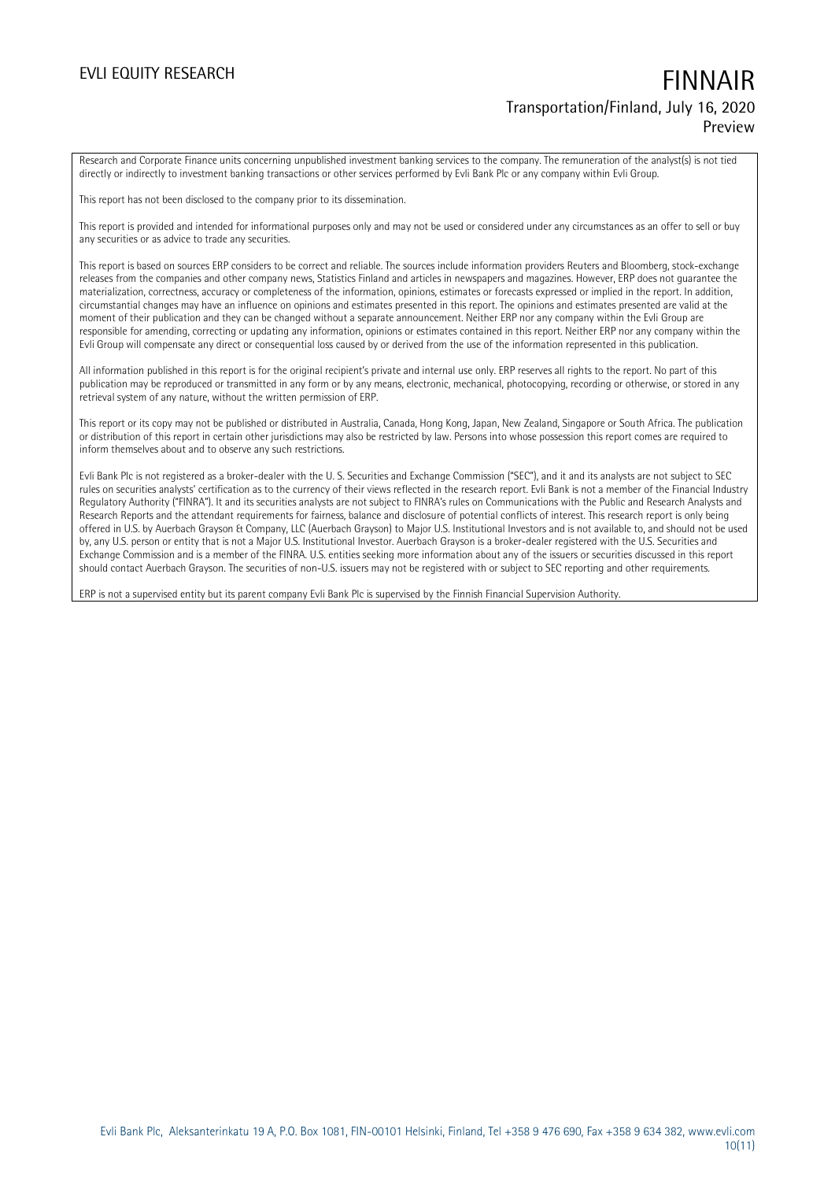Research and Corporate Finance units concerning unpublished investment banking services to the company. The remuneration of the analyst(s) is not tied directly or indirectly to investment banking transactions or other services performed by Evli Bank Plc or any company within Evli Group.

This report has not been disclosed to the company prior to its dissemination.

This report is provided and intended for informational purposes only and may not be used or considered under any circumstances as an offer to sell or buy any securities or as advice to trade any securities.

This report is based on sources ERP considers to be correct and reliable. The sources include information providers Reuters and Bloomberg, stock-exchange releases from the companies and other company news, Statistics Finland and articles in newspapers and magazines. However, ERP does not guarantee the materialization, correctness, accuracy or completeness of the information, opinions, estimates or forecasts expressed or implied in the report. In addition, circumstantial changes may have an influence on opinions and estimates presented in this report. The opinions and estimates presented are valid at the moment of their publication and they can be changed without a separate announcement. Neither ERP nor any company within the Evli Group are responsible for amending, correcting or updating any information, opinions or estimates contained in this report. Neither ERP nor any company within the Evli Group will compensate any direct or consequential loss caused by or derived from the use of the information represented in this publication.

All information published in this report is for the original recipient's private and internal use only. ERP reserves all rights to the report. No part of this publication may be reproduced or transmitted in any form or by any means, electronic, mechanical, photocopying, recording or otherwise, or stored in any retrieval system of any nature, without the written permission of ERP.

This report or its copy may not be published or distributed in Australia, Canada, Hong Kong, Japan, New Zealand, Singapore or South Africa. The publication or distribution of this report in certain other jurisdictions may also be restricted by law. Persons into whose possession this report comes are required to inform themselves about and to observe any such restrictions.

Evli Bank Plc is not registered as a broker-dealer with the U. S. Securities and Exchange Commission ("SEC"), and it and its analysts are not subject to SEC rules on securities analysts' certification as to the currency of their views reflected in the research report. Evli Bank is not a member of the Financial Industry Regulatory Authority ("FINRA"). It and its securities analysts are not subject to FINRA's rules on Communications with the Public and Research Analysts and Research Reports and the attendant requirements for fairness, balance and disclosure of potential conflicts of interest. This research report is only being offered in U.S. by Auerbach Grayson & Company, LLC (Auerbach Grayson) to Major U.S. Institutional Investors and is not available to, and should not be used by, any U.S. person or entity that is not a Major U.S. Institutional Investor. Auerbach Grayson is a broker-dealer registered with the U.S. Securities and Exchange Commission and is a member of the FINRA. U.S. entities seeking more information about any of the issuers or securities discussed in this report should contact Auerbach Grayson. The securities of non-U.S. issuers may not be registered with or subject to SEC reporting and other requirements.

ERP is not a supervised entity but its parent company Evli Bank Plc is supervised by the Finnish Financial Supervision Authority.